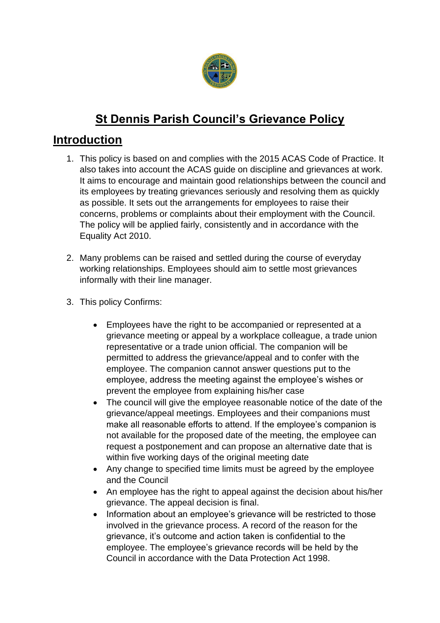

# **St Dennis Parish Council's Grievance Policy**

# **Introduction**

- 1. This policy is based on and complies with the 2015 ACAS Code of Practice. It also takes into account the ACAS guide on discipline and grievances at work. It aims to encourage and maintain good relationships between the council and its employees by treating grievances seriously and resolving them as quickly as possible. It sets out the arrangements for employees to raise their concerns, problems or complaints about their employment with the Council. The policy will be applied fairly, consistently and in accordance with the Equality Act 2010.
- 2. Many problems can be raised and settled during the course of everyday working relationships. Employees should aim to settle most grievances informally with their line manager.
- 3. This policy Confirms:
	- Employees have the right to be accompanied or represented at a grievance meeting or appeal by a workplace colleague, a trade union representative or a trade union official. The companion will be permitted to address the grievance/appeal and to confer with the employee. The companion cannot answer questions put to the employee, address the meeting against the employee's wishes or prevent the employee from explaining his/her case
	- The council will give the employee reasonable notice of the date of the grievance/appeal meetings. Employees and their companions must make all reasonable efforts to attend. If the employee's companion is not available for the proposed date of the meeting, the employee can request a postponement and can propose an alternative date that is within five working days of the original meeting date
	- Any change to specified time limits must be agreed by the employee and the Council
	- An employee has the right to appeal against the decision about his/her grievance. The appeal decision is final.
	- Information about an employee's grievance will be restricted to those involved in the grievance process. A record of the reason for the grievance, it's outcome and action taken is confidential to the employee. The employee's grievance records will be held by the Council in accordance with the Data Protection Act 1998.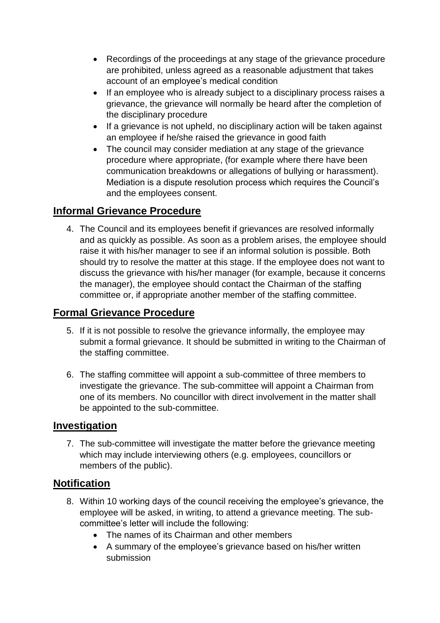- Recordings of the proceedings at any stage of the grievance procedure are prohibited, unless agreed as a reasonable adjustment that takes account of an employee's medical condition
- If an employee who is already subject to a disciplinary process raises a grievance, the grievance will normally be heard after the completion of the disciplinary procedure
- If a grievance is not upheld, no disciplinary action will be taken against an employee if he/she raised the grievance in good faith
- The council may consider mediation at any stage of the grievance procedure where appropriate, (for example where there have been communication breakdowns or allegations of bullying or harassment). Mediation is a dispute resolution process which requires the Council's and the employees consent.

### **Informal Grievance Procedure**

4. The Council and its employees benefit if grievances are resolved informally and as quickly as possible. As soon as a problem arises, the employee should raise it with his/her manager to see if an informal solution is possible. Both should try to resolve the matter at this stage. If the employee does not want to discuss the grievance with his/her manager (for example, because it concerns the manager), the employee should contact the Chairman of the staffing committee or, if appropriate another member of the staffing committee.

#### **Formal Grievance Procedure**

- 5. If it is not possible to resolve the grievance informally, the employee may submit a formal grievance. It should be submitted in writing to the Chairman of the staffing committee.
- 6. The staffing committee will appoint a sub-committee of three members to investigate the grievance. The sub-committee will appoint a Chairman from one of its members. No councillor with direct involvement in the matter shall be appointed to the sub-committee.

#### **Investigation**

7. The sub-committee will investigate the matter before the grievance meeting which may include interviewing others (e.g. employees, councillors or members of the public).

### **Notification**

- 8. Within 10 working days of the council receiving the employee's grievance, the employee will be asked, in writing, to attend a grievance meeting. The subcommittee's letter will include the following:
	- The names of its Chairman and other members
	- A summary of the employee's grievance based on his/her written submission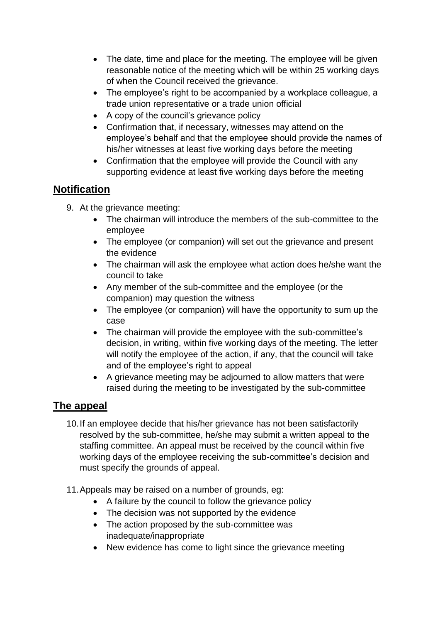- The date, time and place for the meeting. The employee will be given reasonable notice of the meeting which will be within 25 working days of when the Council received the grievance.
- The employee's right to be accompanied by a workplace colleague, a trade union representative or a trade union official
- A copy of the council's grievance policy
- Confirmation that, if necessary, witnesses may attend on the employee's behalf and that the employee should provide the names of his/her witnesses at least five working days before the meeting
- Confirmation that the employee will provide the Council with any supporting evidence at least five working days before the meeting

#### **Notification**

- 9. At the grievance meeting:
	- The chairman will introduce the members of the sub-committee to the employee
	- The employee (or companion) will set out the grievance and present the evidence
	- The chairman will ask the employee what action does he/she want the council to take
	- Any member of the sub-committee and the employee (or the companion) may question the witness
	- The employee (or companion) will have the opportunity to sum up the case
	- The chairman will provide the employee with the sub-committee's decision, in writing, within five working days of the meeting. The letter will notify the employee of the action, if any, that the council will take and of the employee's right to appeal
	- A grievance meeting may be adjourned to allow matters that were raised during the meeting to be investigated by the sub-committee

## **The appeal**

- 10.If an employee decide that his/her grievance has not been satisfactorily resolved by the sub-committee, he/she may submit a written appeal to the staffing committee. An appeal must be received by the council within five working days of the employee receiving the sub-committee's decision and must specify the grounds of appeal.
- 11.Appeals may be raised on a number of grounds, eg:
	- A failure by the council to follow the grievance policy
	- The decision was not supported by the evidence
	- The action proposed by the sub-committee was inadequate/inappropriate
	- New evidence has come to light since the grievance meeting